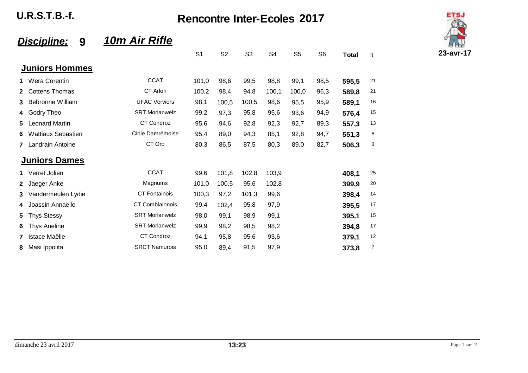**U.R.S.T.B.-f.** 

**Rencontre Inter-Ecoles 2017** 



## 10m Air Rifle Discipline: 9

|              |                           |                        | S <sub>1</sub> | S <sub>2</sub> | S <sub>3</sub> | S <sub>4</sub> | S <sub>5</sub> | S <sub>6</sub> | <b>Total</b> | it |
|--------------|---------------------------|------------------------|----------------|----------------|----------------|----------------|----------------|----------------|--------------|----|
|              | <b>Juniors Hommes</b>     |                        |                |                |                |                |                |                |              |    |
|              | 1 Wera Corentin           | <b>CCAT</b>            | 101,0          | 98,6           | 99,5           | 98,8           | 99,1           | 98,5           | 595,5        | 21 |
| $\mathbf{2}$ | <b>Cottens Thomas</b>     | CT Arlon               | 100,2          | 98,4           | 94,8           | 100,1          | 100,0          | 96,3           | 589,8        | 21 |
| 3            | <b>Bebronne William</b>   | <b>UFAC Verviers</b>   | 98,1           | 100,5          | 100,5          | 98,6           | 95,5           | 95,9           | 589,1        | 16 |
| 4            | Godry Theo                | <b>SRT Morlanwelz</b>  | 99,2           | 97,3           | 95,8           | 95,6           | 93,6           | 94,9           | 576,4        | 15 |
| 5            | <b>Leonard Martin</b>     | <b>CT Condroz</b>      | 95,6           | 94,6           | 92,8           | 92,3           | 92,7           | 89,3           | 557,3        | 13 |
| 6            | <b>Wattiaux Sebastien</b> | Cible Damrémoise       | 95,4           | 89,0           | 94,3           | 85,1           | 92,8           | 94,7           | 551,3        | 8  |
| 7            | <b>Landrain Antoine</b>   | CT Orp                 | 80,3           | 86,5           | 87,5           | 80,3           | 89,0           | 82,7           | 506,3        | 3  |
|              | <b>Juniors Dames</b>      |                        |                |                |                |                |                |                |              |    |
| $\mathbf 1$  | Verret Jolien             | <b>CCAT</b>            | 99,6           | 101,8          | 102,8          | 103,9          |                |                | 408,1        | 25 |
| $\mathbf{2}$ | Jaeger Anke               | Magnums                | 101,0          | 100,5          | 95,6           | 102,8          |                |                | 399,9        | 20 |
| 3            | Vandermeulen Lydie        | <b>CT Fontainois</b>   | 100,3          | 97,2           | 101,3          | 99,6           |                |                | 398,4        | 14 |
| 4            | Joassin Annaëlle          | <b>CT Comblainnois</b> | 99,4           | 102,4          | 95,8           | 97,9           |                |                | 395,5        | 17 |
| 5            | <b>Thys Stessy</b>        | <b>SRT Morlanwelz</b>  | 98,0           | 99,1           | 98,9           | 99,1           |                |                | 395,1        | 15 |
| 6            | <b>Thys Aneline</b>       | <b>SRT Morlanwelz</b>  | 99,9           | 98,2           | 98,5           | 98,2           |                |                | 394,8        | 17 |
| 7            | Istace Maëlle             | <b>CT Condroz</b>      | 94,1           | 95,8           | 95,6           | 93,6           |                |                | 379,1        | 12 |
| 8            | Masi Ippolita             | <b>SRCT Namurois</b>   | 95,0           | 89,4           | 91,5           | 97,9           |                |                | 373,8        | 7  |